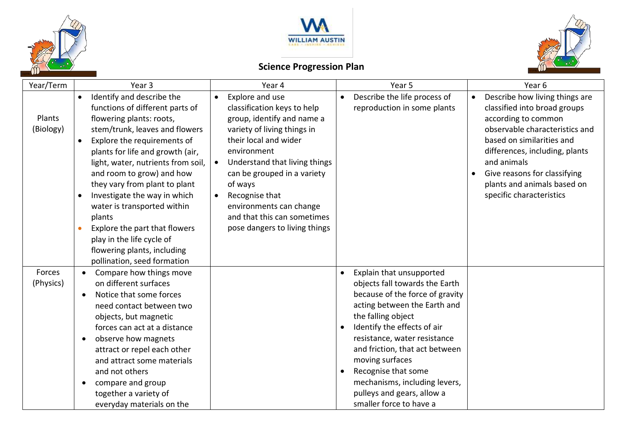



## **Science Progression Plan**



| Year/Term           | Year <sub>3</sub>                                                                                                                                                                                                                                                                                                                                                                                                                                                                                                                             | Year 4                                                                                                                                                                                                                                                                                                                                                                | Year 5                                                                                                                                                                                                                                                                                                                                                                                                | Year <sub>6</sub>                                                                                                                                                                                                                                                                                             |
|---------------------|-----------------------------------------------------------------------------------------------------------------------------------------------------------------------------------------------------------------------------------------------------------------------------------------------------------------------------------------------------------------------------------------------------------------------------------------------------------------------------------------------------------------------------------------------|-----------------------------------------------------------------------------------------------------------------------------------------------------------------------------------------------------------------------------------------------------------------------------------------------------------------------------------------------------------------------|-------------------------------------------------------------------------------------------------------------------------------------------------------------------------------------------------------------------------------------------------------------------------------------------------------------------------------------------------------------------------------------------------------|---------------------------------------------------------------------------------------------------------------------------------------------------------------------------------------------------------------------------------------------------------------------------------------------------------------|
| Plants<br>(Biology) | Identify and describe the<br>$\bullet$<br>functions of different parts of<br>flowering plants: roots,<br>stem/trunk, leaves and flowers<br>Explore the requirements of<br>$\bullet$<br>plants for life and growth (air,<br>light, water, nutrients from soil,<br>and room to grow) and how<br>they vary from plant to plant<br>Investigate the way in which<br>$\bullet$<br>water is transported within<br>plants<br>Explore the part that flowers<br>play in the life cycle of<br>flowering plants, including<br>pollination, seed formation | Explore and use<br>$\bullet$<br>classification keys to help<br>group, identify and name a<br>variety of living things in<br>their local and wider<br>environment<br>Understand that living things<br>can be grouped in a variety<br>of ways<br>Recognise that<br>$\bullet$<br>environments can change<br>and that this can sometimes<br>pose dangers to living things | Describe the life process of<br>reproduction in some plants                                                                                                                                                                                                                                                                                                                                           | Describe how living things are<br>classified into broad groups<br>according to common<br>observable characteristics and<br>based on similarities and<br>differences, including, plants<br>and animals<br>Give reasons for classifying<br>$\bullet$<br>plants and animals based on<br>specific characteristics |
| Forces<br>(Physics) | Compare how things move<br>on different surfaces<br>Notice that some forces<br>need contact between two<br>objects, but magnetic<br>forces can act at a distance<br>observe how magnets<br>attract or repel each other<br>and attract some materials<br>and not others<br>compare and group<br>together a variety of<br>everyday materials on the                                                                                                                                                                                             |                                                                                                                                                                                                                                                                                                                                                                       | Explain that unsupported<br>$\bullet$<br>objects fall towards the Earth<br>because of the force of gravity<br>acting between the Earth and<br>the falling object<br>Identify the effects of air<br>resistance, water resistance<br>and friction, that act between<br>moving surfaces<br>Recognise that some<br>mechanisms, including levers,<br>pulleys and gears, allow a<br>smaller force to have a |                                                                                                                                                                                                                                                                                                               |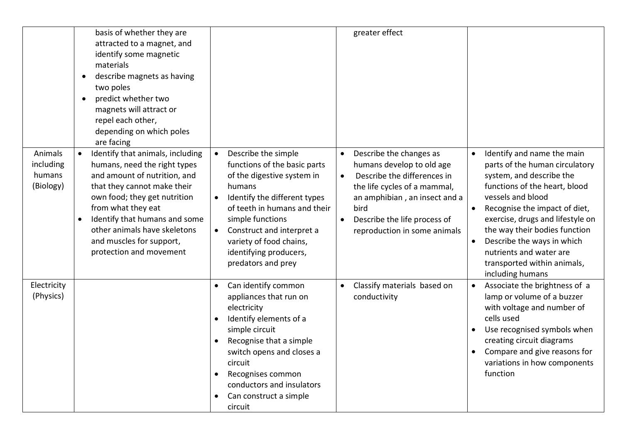|                                             | basis of whether they are<br>attracted to a magnet, and<br>identify some magnetic<br>materials<br>describe magnets as having<br>two poles<br>predict whether two<br>magnets will attract or<br>repel each other,<br>depending on which poles<br>are facing                                                                 |                                                                                                                                                                                                                                                                                                                                | greater effect                                                                                                                                                                                                                                         |                                                                                                                                                                                                                                                                                                                                                                                            |
|---------------------------------------------|----------------------------------------------------------------------------------------------------------------------------------------------------------------------------------------------------------------------------------------------------------------------------------------------------------------------------|--------------------------------------------------------------------------------------------------------------------------------------------------------------------------------------------------------------------------------------------------------------------------------------------------------------------------------|--------------------------------------------------------------------------------------------------------------------------------------------------------------------------------------------------------------------------------------------------------|--------------------------------------------------------------------------------------------------------------------------------------------------------------------------------------------------------------------------------------------------------------------------------------------------------------------------------------------------------------------------------------------|
| Animals<br>including<br>humans<br>(Biology) | Identify that animals, including<br>humans, need the right types<br>and amount of nutrition, and<br>that they cannot make their<br>own food; they get nutrition<br>from what they eat<br>Identify that humans and some<br>$\bullet$<br>other animals have skeletons<br>and muscles for support,<br>protection and movement | Describe the simple<br>$\bullet$<br>functions of the basic parts<br>of the digestive system in<br>humans<br>Identify the different types<br>$\bullet$<br>of teeth in humans and their<br>simple functions<br>Construct and interpret a<br>$\bullet$<br>variety of food chains,<br>identifying producers,<br>predators and prey | Describe the changes as<br>humans develop to old age<br>Describe the differences in<br>$\bullet$<br>the life cycles of a mammal,<br>an amphibian, an insect and a<br>bird<br>Describe the life process of<br>$\bullet$<br>reproduction in some animals | Identify and name the main<br>parts of the human circulatory<br>system, and describe the<br>functions of the heart, blood<br>vessels and blood<br>Recognise the impact of diet,<br>$\bullet$<br>exercise, drugs and lifestyle on<br>the way their bodies function<br>Describe the ways in which<br>$\bullet$<br>nutrients and water are<br>transported within animals,<br>including humans |
| Electricity<br>(Physics)                    |                                                                                                                                                                                                                                                                                                                            | Can identify common<br>appliances that run on<br>electricity<br>Identify elements of a<br>simple circuit<br>Recognise that a simple<br>switch opens and closes a<br>circuit<br>Recognises common<br>conductors and insulators<br>Can construct a simple<br>circuit                                                             | Classify materials based on<br>conductivity                                                                                                                                                                                                            | Associate the brightness of a<br>$\bullet$<br>lamp or volume of a buzzer<br>with voltage and number of<br>cells used<br>Use recognised symbols when<br>creating circuit diagrams<br>Compare and give reasons for<br>variations in how components<br>function                                                                                                                               |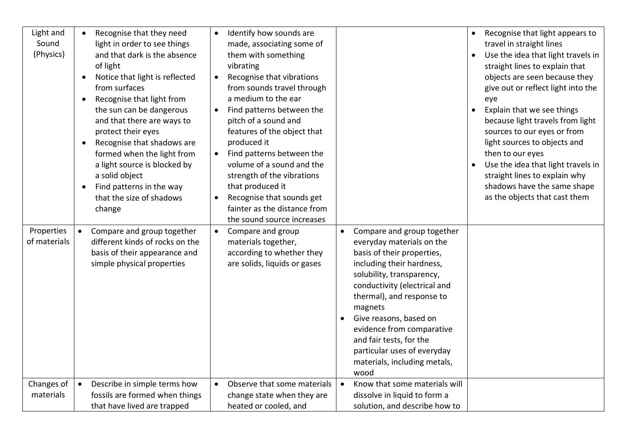| Light and<br>Sound<br>(Physics) | Recognise that they need<br>light in order to see things<br>and that dark is the absence<br>of light<br>Notice that light is reflected<br>$\bullet$<br>from surfaces<br>Recognise that light from<br>the sun can be dangerous<br>and that there are ways to<br>protect their eyes<br>Recognise that shadows are<br>$\bullet$<br>formed when the light from<br>a light source is blocked by<br>a solid object<br>Find patterns in the way<br>that the size of shadows<br>change | Identify how sounds are<br>made, associating some of<br>them with something<br>vibrating<br>Recognise that vibrations<br>$\bullet$<br>from sounds travel through<br>a medium to the ear<br>Find patterns between the<br>pitch of a sound and<br>features of the object that<br>produced it<br>• Find patterns between the<br>volume of a sound and the<br>strength of the vibrations<br>that produced it<br>Recognise that sounds get<br>$\bullet$<br>fainter as the distance from<br>the sound source increases |                                                                                                                                                                                                                                                                                                                                                                                               | Recognise that light appears to<br>travel in straight lines<br>Use the idea that light travels in<br>straight lines to explain that<br>objects are seen because they<br>give out or reflect light into the<br>eye<br>Explain that we see things<br>because light travels from light<br>sources to our eyes or from<br>light sources to objects and<br>then to our eyes<br>Use the idea that light travels in<br>straight lines to explain why<br>shadows have the same shape<br>as the objects that cast them |
|---------------------------------|--------------------------------------------------------------------------------------------------------------------------------------------------------------------------------------------------------------------------------------------------------------------------------------------------------------------------------------------------------------------------------------------------------------------------------------------------------------------------------|------------------------------------------------------------------------------------------------------------------------------------------------------------------------------------------------------------------------------------------------------------------------------------------------------------------------------------------------------------------------------------------------------------------------------------------------------------------------------------------------------------------|-----------------------------------------------------------------------------------------------------------------------------------------------------------------------------------------------------------------------------------------------------------------------------------------------------------------------------------------------------------------------------------------------|---------------------------------------------------------------------------------------------------------------------------------------------------------------------------------------------------------------------------------------------------------------------------------------------------------------------------------------------------------------------------------------------------------------------------------------------------------------------------------------------------------------|
| Properties<br>of materials      | Compare and group together<br>$\bullet$<br>different kinds of rocks on the<br>basis of their appearance and<br>simple physical properties                                                                                                                                                                                                                                                                                                                                      | Compare and group<br>$\bullet$<br>materials together,<br>according to whether they<br>are solids, liquids or gases                                                                                                                                                                                                                                                                                                                                                                                               | Compare and group together<br>$\bullet$<br>everyday materials on the<br>basis of their properties,<br>including their hardness,<br>solubility, transparency,<br>conductivity (electrical and<br>thermal), and response to<br>magnets<br>Give reasons, based on<br>evidence from comparative<br>and fair tests, for the<br>particular uses of everyday<br>materials, including metals,<br>wood |                                                                                                                                                                                                                                                                                                                                                                                                                                                                                                               |
| Changes of<br>materials         | Describe in simple terms how<br>$\bullet$<br>fossils are formed when things<br>that have lived are trapped                                                                                                                                                                                                                                                                                                                                                                     | Observe that some materials<br>$\bullet$<br>change state when they are<br>heated or cooled, and                                                                                                                                                                                                                                                                                                                                                                                                                  | Know that some materials will<br>dissolve in liquid to form a<br>solution, and describe how to                                                                                                                                                                                                                                                                                                |                                                                                                                                                                                                                                                                                                                                                                                                                                                                                                               |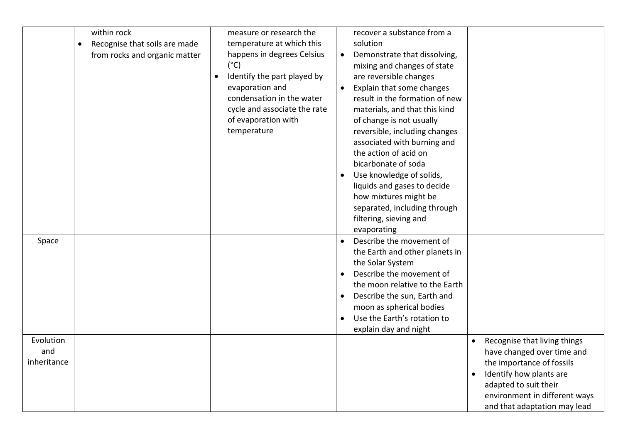|                                 | within rock<br>Recognise that soils are made<br>$\bullet$<br>from rocks and organic matter | measure or research the<br>temperature at which this<br>happens in degrees Celsius<br>(°C)<br>Identify the part played by<br>evaporation and<br>condensation in the water<br>cycle and associate the rate<br>of evaporation with<br>temperature | recover a substance from a<br>solution<br>Demonstrate that dissolving,<br>$\bullet$<br>mixing and changes of state<br>are reversible changes<br>Explain that some changes<br>result in the formation of new<br>materials, and that this kind<br>of change is not usually<br>reversible, including changes<br>associated with burning and<br>the action of acid on<br>bicarbonate of soda<br>Use knowledge of solids,<br>liquids and gases to decide<br>how mixtures might be<br>separated, including through<br>filtering, sieving and<br>evaporating |                                                                                                                                                                                                              |
|---------------------------------|--------------------------------------------------------------------------------------------|-------------------------------------------------------------------------------------------------------------------------------------------------------------------------------------------------------------------------------------------------|-------------------------------------------------------------------------------------------------------------------------------------------------------------------------------------------------------------------------------------------------------------------------------------------------------------------------------------------------------------------------------------------------------------------------------------------------------------------------------------------------------------------------------------------------------|--------------------------------------------------------------------------------------------------------------------------------------------------------------------------------------------------------------|
| Space                           |                                                                                            |                                                                                                                                                                                                                                                 | Describe the movement of<br>the Earth and other planets in<br>the Solar System<br>Describe the movement of<br>the moon relative to the Earth<br>Describe the sun, Earth and<br>moon as spherical bodies<br>Use the Earth's rotation to<br>explain day and night                                                                                                                                                                                                                                                                                       |                                                                                                                                                                                                              |
| Evolution<br>and<br>inheritance |                                                                                            |                                                                                                                                                                                                                                                 |                                                                                                                                                                                                                                                                                                                                                                                                                                                                                                                                                       | Recognise that living things<br>have changed over time and<br>the importance of fossils<br>Identify how plants are<br>adapted to suit their<br>environment in different ways<br>and that adaptation may lead |